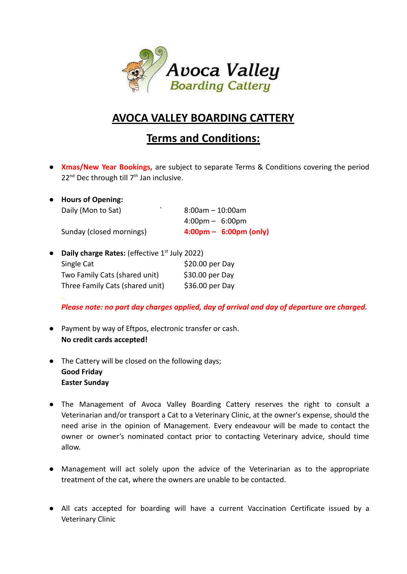

## **AVOCA VALLEY BOARDING CATTERY**

## **Terms and Conditions:**

- **Xmas/New Year Bookings,** are subject to separate Terms & Conditions covering the period  $22<sup>nd</sup>$  Dec through till  $7<sup>th</sup>$  Jan inclusive.
- **● Hours of Opening:** Daily (Mon to Sat)  $8:00am - 10:00am$ 4:00pm – 6:00pm Sunday (closed mornings) **4:00pm – 6:00pm (only)**
- **•** Daily charge Rates: (effective 1<sup>st</sup> July 2022) Single Cat \$20.00 per Day Two Family Cats (shared unit) \$30.00 per Day Three Family Cats (shared unit) \$36.00 per Day

.

*Please note: no part day charges applied, day of arrival and day of departure are charged.*

- Payment by way of Eftpos, electronic transfer or cash. **No credit cards accepted!**
- **●** The Cattery will be closed on the following days; **Good Friday Easter Sunday**
- The Management of Avoca Valley Boarding Cattery reserves the right to consult a Veterinarian and/or transport a Cat to a Veterinary Clinic, at the owner's expense, should the need arise in the opinion of Management. Every endeavour will be made to contact the owner or owner's nominated contact prior to contacting Veterinary advice, should time allow.
- Management will act solely upon the advice of the Veterinarian as to the appropriate treatment of the cat, where the owners are unable to be contacted.
- All cats accepted for boarding will have a current Vaccination Certificate issued by a Veterinary Clinic